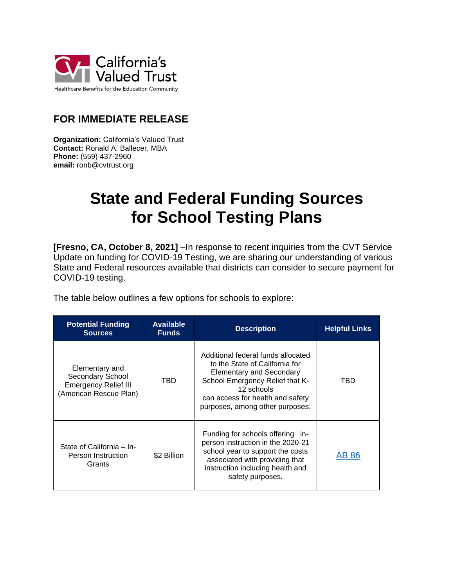

## **FOR IMMEDIATE RELEASE**

**Organization:** California's Valued Trust **Contact:** Ronald A. Ballecer, MBA **Phone:** (559) 437-2960 **email:** ronb@cvtrust.org

## **State and Federal Funding Sources for School Testing Plans**

**[Fresno, CA, October 8, 2021]** –In response to recent inquiries from the CVT Service Update on funding for COVID-19 Testing, we are sharing our understanding of various State and Federal resources available that districts can consider to secure payment for COVID-19 testing.

The table below outlines a few options for schools to explore:

| <b>Potential Funding</b><br><b>Sources</b>                                                  | <b>Available</b><br><b>Funds</b> | <b>Description</b>                                                                                                                                                                                                              | <b>Helpful Links</b> |
|---------------------------------------------------------------------------------------------|----------------------------------|---------------------------------------------------------------------------------------------------------------------------------------------------------------------------------------------------------------------------------|----------------------|
| Elementary and<br>Secondary School<br><b>Emergency Relief III</b><br>(American Rescue Plan) | TBD                              | Additional federal funds allocated<br>to the State of California for<br><b>Elementary and Secondary</b><br>School Emergency Relief that K-<br>12 schools<br>can access for health and safety<br>purposes, among other purposes. | TBD                  |
| State of California - In-<br>Person Instruction<br>Grants                                   | \$2 Billion                      | Funding for schools offering in-<br>person instruction in the 2020-21<br>school year to support the costs<br>associated with providing that<br>instruction including health and<br>safety purposes.                             | AB 86                |